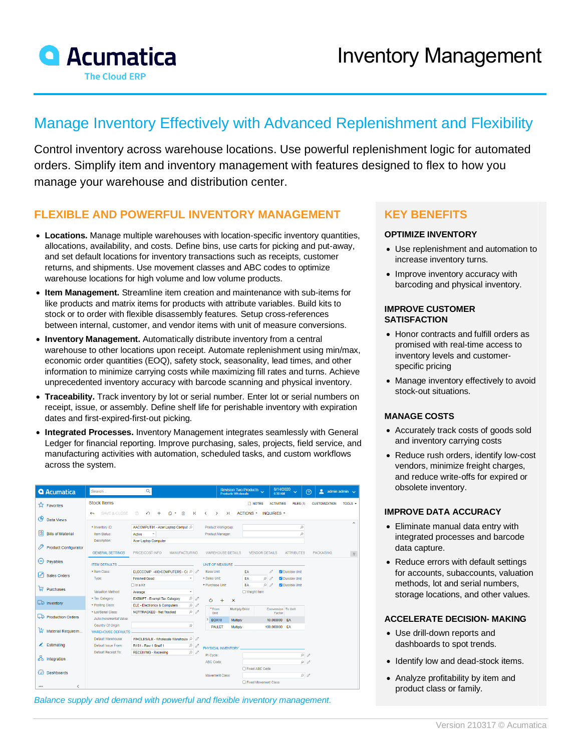

# Manage Inventory Effectively with Advanced Replenishment and Flexibility

Control inventory across warehouse locations. Use powerful replenishment logic for automated orders. Simplify item and inventory management with features designed to flex to how you manage your warehouse and distribution center.

## **FLEXIBLE AND POWERFUL INVENTORY MANAGEMENT**

- **Locations.** Manage multiple warehouses with location-specific inventory quantities, allocations, availability, and costs. Define bins, use carts for picking and put-away, and set default locations for inventory transactions such as receipts, customer returns, and shipments. Use movement classes and ABC codes to optimize warehouse locations for high volume and low volume products.
- **Item Management.** Streamline item creation and maintenance with sub-items for like products and matrix items for products with attribute variables. Build kits to stock or to order with flexible disassembly features. Setup cross-references between internal, customer, and vendor items with unit of measure conversions.
- **Inventory Management.** Automatically distribute inventory from a central warehouse to other locations upon receipt. Automate replenishment using min/max, economic order quantities (EOQ), safety stock, seasonality, lead times, and other information to minimize carrying costs while maximizing fill rates and turns. Achieve unprecedented inventory accuracy with barcode scanning and physical inventory.
- **Traceability.** Track inventory by lot or serial number. Enter lot or serial numbers on receipt, issue, or assembly. Define shelf life for perishable inventory with expiration dates and first-expired-first-out picking.
- **Integrated Processes.** Inventory Management integrates seamlessly with General Ledger for financial reporting. Improve purchasing, sales, projects, field service, and manufacturing activities with automation, scheduled tasks, and custom workflows across the system.

| <b>Q</b> Acumatica               | Q<br>Search                                               |                                                    | Revision Two Products<br>Products Wholesale       | 8/14/2020<br>$\ddot{\phantom{0}}$<br>6:30 AM | ۹<br>admin admin $\sqrt{}$<br>෬                                                 |
|----------------------------------|-----------------------------------------------------------|----------------------------------------------------|---------------------------------------------------|----------------------------------------------|---------------------------------------------------------------------------------|
| ⊀≿<br>Favorites                  | <b>Stock Items</b>                                        |                                                    | <b>T</b> NOTES                                    | <b>ACTIVITIES</b><br>FILES (1)               | TOOLS $\sim$<br><b>CUSTOMIZATION</b>                                            |
| ල                                | SAVE & CLOSE<br>周<br>↶                                    | 价<br>К                                             | $\geq$<br>ACTIONS *                               | <b>INQUIRIES *</b>                           |                                                                                 |
| Data Views                       |                                                           |                                                    |                                                   |                                              | $\overline{\phantom{a}}$                                                        |
| 胆<br><b>Bills of Material</b>    | * Inventory ID:<br>Item Status:<br>Active<br>$\checkmark$ | AACOMPUT01 - Acer Laptop Comput Q                  | Product Workgroup:<br>Product Manager:            | ρ<br>$\circ$                                 |                                                                                 |
|                                  | Description:<br>Acer Laptop Computer                      |                                                    |                                                   |                                              |                                                                                 |
| ₽<br><b>Product Configurator</b> |                                                           |                                                    |                                                   |                                              |                                                                                 |
|                                  | <b>GENERAL SETTINGS</b><br>PRICE/COST INFO                | <b>MANUFACTURING</b>                               | <b>WAREHOUSE DETAILS</b><br><b>VENDOR DETAILS</b> | <b>ATTRIBUTES</b>                            | <b>PACKAGING</b><br>$\ensuremath{\mathop{\vphantom{\lambda}}\nolimits_\varphi}$ |
| Ξ<br>Pavables                    | <b>ITEM DEFAULTS</b>                                      |                                                    | <b>UNIT OF MEASURE</b>                            |                                              |                                                                                 |
|                                  | * Item Class:                                             | ELECCOMP -400-COMPUTERS - Ct P<br>Base Unit:       | <b>FA</b>                                         | O Divisible Unit<br>0                        |                                                                                 |
| Ø<br>Sales Orders                | <b>Finished Good</b><br>Type:                             | * Sales Unit:                                      | EA<br>$\circ$                                     | O Divisible Unit<br>$\theta$                 |                                                                                 |
|                                  | $\Box$ Is a Kit                                           | * Purchase Unit:                                   | $\circ$<br>EA                                     | Divisible Unit<br>$\mathscr{O}$              |                                                                                 |
| ₽<br>Purchases                   | Valuation Method:<br>Average                              | ۰                                                  | □ Weight Item                                     |                                              |                                                                                 |
|                                  | * Tax Category:<br><b>EXEMPT - Exempt Tax Category</b>    | o<br>0<br>Ò                                        | $+$<br>$\mathsf{x}$                               |                                              |                                                                                 |
| <b>L</b> Inventory               | * Posting Class:<br>ELE - Electronics & Computers         | $\varnothing$<br>0<br>*From                        | Multiply/Divid                                    | Conversion To Unit                           |                                                                                 |
| Production Orders                | * Lot/Serial Class:<br>NOTTRACKED - Not Tracked           | $\rho$<br>Unit                                     |                                                   | Factor                                       |                                                                                 |
|                                  | Auto-Incremental Value:                                   |                                                    | <b>BOX10</b><br>Multiply                          | 10.000000 EA                                 |                                                                                 |
| ∖‡<br>Material Requirem          | Country Of Origin:<br><b>WAREHOUSE DEFAULTS</b>           | $\varphi$                                          | <b>PALLET</b><br>Multiply                         | 100.000000 EA                                |                                                                                 |
|                                  | Default Warehouse:                                        | WHOLESALE - Wholesale Warehouse P<br>$\mathscr{O}$ |                                                   |                                              |                                                                                 |
| Estimating<br>z.                 | Default Issue From:<br>R1S1 - Row 1 Shelf 1               | Q<br>$\mathscr{O}$                                 |                                                   |                                              |                                                                                 |
|                                  | Default Receipt To:<br><b>RECEIVING - Receiving</b>       | $\rho$                                             | PHYSICAL INVENTORY                                |                                              |                                                                                 |
| ፌ<br>Integration                 |                                                           | PI Cycle:                                          |                                                   | $\rho$                                       |                                                                                 |
|                                  |                                                           | ABC Code:                                          |                                                   | Q                                            | $\overline{\mathscr{O}}$                                                        |
| <b>Dashboards</b>                |                                                           |                                                    | □ Fixed ABC Code<br>Movement Class:               | $\rho$                                       |                                                                                 |
|                                  |                                                           |                                                    | □ Fixed Movement Class                            |                                              |                                                                                 |
| $\cdots$                         |                                                           |                                                    |                                                   |                                              |                                                                                 |

*Balance supply and demand with powerful and flexible inventory management.*

# **KEY BENEFITS**

#### **OPTIMIZE INVENTORY**

- Use replenishment and automation to increase inventory turns.
- Improve inventory accuracy with barcoding and physical inventory.

#### **IMPROVE CUSTOMER SATISFACTION**

- Honor contracts and fulfill orders as promised with real-time access to inventory levels and customerspecific pricing
- Manage inventory effectively to avoid stock-out situations.

#### **MANAGE COSTS**

- Accurately track costs of goods sold and inventory carrying costs
- Reduce rush orders, identify low-cost vendors, minimize freight charges, and reduce write-offs for expired or obsolete inventory.

#### **IMPROVE DATA ACCURACY**

- Eliminate manual data entry with integrated processes and barcode data capture.
- Reduce errors with default settings for accounts, subaccounts, valuation methods, lot and serial numbers, storage locations, and other values.

#### **ACCELERATE DECISION- MAKING**

- Use drill-down reports and dashboards to spot trends.
- Identify low and dead-stock items.
- Analyze profitability by item and product class or family.